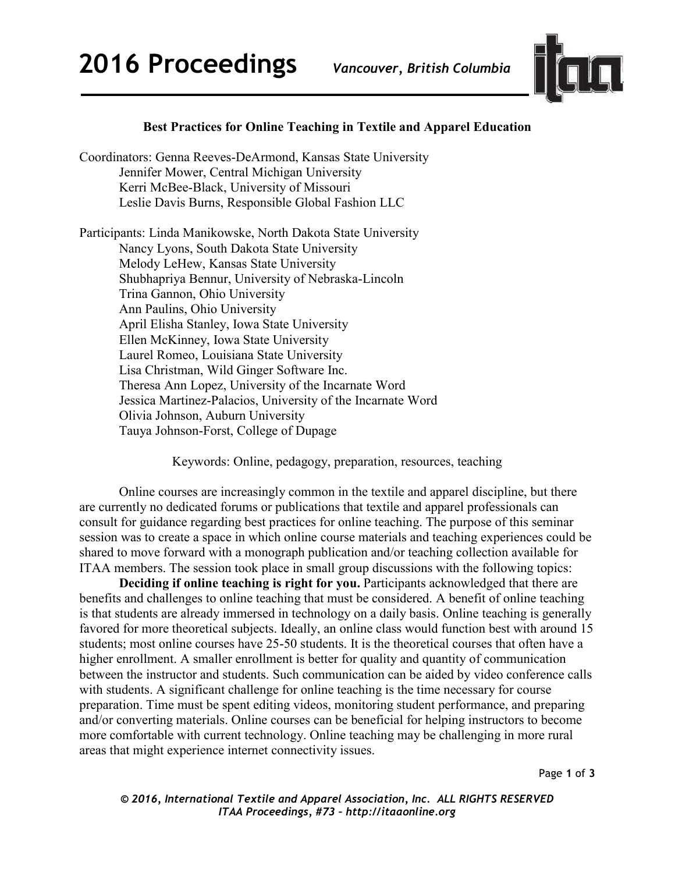

## **Best Practices for Online Teaching in Textile and Apparel Education**

Coordinators: Genna Reeves-DeArmond, Kansas State University Jennifer Mower, Central Michigan University Kerri McBee-Black, University of Missouri Leslie Davis Burns, Responsible Global Fashion LLC

Participants: Linda Manikowske, North Dakota State University Nancy Lyons, South Dakota State University Melody LeHew, Kansas State University Shubhapriya Bennur, University of Nebraska-Lincoln Trina Gannon, Ohio University Ann Paulins, Ohio University April Elisha Stanley, Iowa State University Ellen McKinney, Iowa State University Laurel Romeo, Louisiana State University Lisa Christman, Wild Ginger Software Inc. Theresa Ann Lopez, University of the Incarnate Word Jessica Martinez-Palacios, University of the Incarnate Word Olivia Johnson, Auburn University Tauya Johnson-Forst, College of Dupage

Keywords: Online, pedagogy, preparation, resources, teaching

Online courses are increasingly common in the textile and apparel discipline, but there are currently no dedicated forums or publications that textile and apparel professionals can consult for guidance regarding best practices for online teaching. The purpose of this seminar session was to create a space in which online course materials and teaching experiences could be shared to move forward with a monograph publication and/or teaching collection available for ITAA members. The session took place in small group discussions with the following topics:

**Deciding if online teaching is right for you.** Participants acknowledged that there are benefits and challenges to online teaching that must be considered. A benefit of online teaching is that students are already immersed in technology on a daily basis. Online teaching is generally favored for more theoretical subjects. Ideally, an online class would function best with around 15 students; most online courses have 25-50 students. It is the theoretical courses that often have a higher enrollment. A smaller enrollment is better for quality and quantity of communication between the instructor and students. Such communication can be aided by video conference calls with students. A significant challenge for online teaching is the time necessary for course preparation. Time must be spent editing videos, monitoring student performance, and preparing and/or converting materials. Online courses can be beneficial for helping instructors to become more comfortable with current technology. Online teaching may be challenging in more rural areas that might experience internet connectivity issues.

Page **1** of **3**

*© 2016, International Textile and Apparel Association, Inc. ALL RIGHTS RESERVED ITAA Proceedings, #73 – http://itaaonline.org*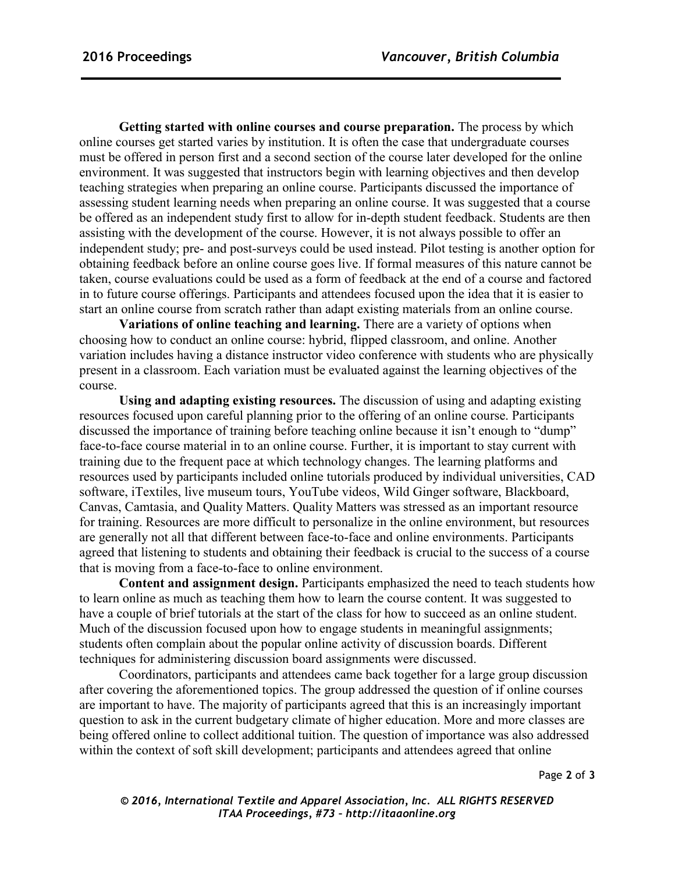**Getting started with online courses and course preparation.** The process by which online courses get started varies by institution. It is often the case that undergraduate courses must be offered in person first and a second section of the course later developed for the online environment. It was suggested that instructors begin with learning objectives and then develop teaching strategies when preparing an online course. Participants discussed the importance of assessing student learning needs when preparing an online course. It was suggested that a course be offered as an independent study first to allow for in-depth student feedback. Students are then assisting with the development of the course. However, it is not always possible to offer an independent study; pre- and post-surveys could be used instead. Pilot testing is another option for obtaining feedback before an online course goes live. If formal measures of this nature cannot be taken, course evaluations could be used as a form of feedback at the end of a course and factored in to future course offerings. Participants and attendees focused upon the idea that it is easier to start an online course from scratch rather than adapt existing materials from an online course.

**Variations of online teaching and learning.** There are a variety of options when choosing how to conduct an online course: hybrid, flipped classroom, and online. Another variation includes having a distance instructor video conference with students who are physically present in a classroom. Each variation must be evaluated against the learning objectives of the course.

**Using and adapting existing resources.** The discussion of using and adapting existing resources focused upon careful planning prior to the offering of an online course. Participants discussed the importance of training before teaching online because it isn't enough to "dump" face-to-face course material in to an online course. Further, it is important to stay current with training due to the frequent pace at which technology changes. The learning platforms and resources used by participants included online tutorials produced by individual universities, CAD software, iTextiles, live museum tours, YouTube videos, Wild Ginger software, Blackboard, Canvas, Camtasia, and Quality Matters. Quality Matters was stressed as an important resource for training. Resources are more difficult to personalize in the online environment, but resources are generally not all that different between face-to-face and online environments. Participants agreed that listening to students and obtaining their feedback is crucial to the success of a course that is moving from a face-to-face to online environment.

**Content and assignment design.** Participants emphasized the need to teach students how to learn online as much as teaching them how to learn the course content. It was suggested to have a couple of brief tutorials at the start of the class for how to succeed as an online student. Much of the discussion focused upon how to engage students in meaningful assignments; students often complain about the popular online activity of discussion boards. Different techniques for administering discussion board assignments were discussed.

Coordinators, participants and attendees came back together for a large group discussion after covering the aforementioned topics. The group addressed the question of if online courses are important to have. The majority of participants agreed that this is an increasingly important question to ask in the current budgetary climate of higher education. More and more classes are being offered online to collect additional tuition. The question of importance was also addressed within the context of soft skill development; participants and attendees agreed that online